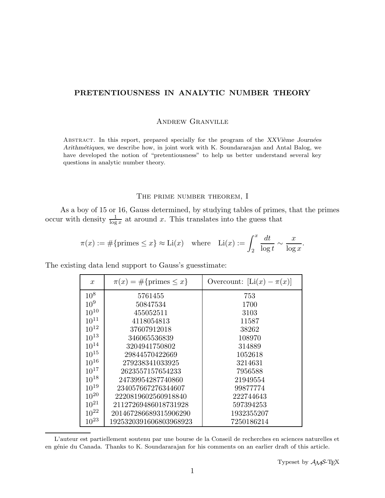# PRETENTIOUSNESS IN ANALYTIC NUMBER THEORY

## Andrew Granville

ABSTRACT. In this report, prepared specially for the program of the XXVième Journées Arithmétiques, we describe how, in joint work with K. Soundararajan and Antal Balog, we have developed the notion of "pretentiousness" to help us better understand several key questions in analytic number theory.

# THE PRIME NUMBER THEOREM, I

As a boy of 15 or 16, Gauss determined, by studying tables of primes, that the primes occur with density  $\frac{1}{\log x}$  at around x. This translates into the guess that

$$
\pi(x) := \#\{\text{primes} \le x\} \approx \text{Li}(x) \quad \text{where} \quad \text{Li}(x) := \int_2^x \frac{dt}{\log t} \sim \frac{x}{\log x}.
$$

The existing data lend support to Gauss's guesstimate:

| $\boldsymbol{x}$ | $\pi(x) = \#\{\text{primes} \leq x\}$ | Overcount: $[Li(x) - \pi(x)]$ |
|------------------|---------------------------------------|-------------------------------|
| $10^{8}$         | 5761455                               | 753                           |
| $10^{9}$         | 50847534                              | 1700                          |
| $10^{10}$        | 455052511                             | 3103                          |
| $10^{11}$        | 4118054813                            | 11587                         |
| $10^{12}$        | 37607912018                           | 38262                         |
| $10^{13}$        | 346065536839                          | 108970                        |
| $10^{14}$        | 3204941750802                         | 314889                        |
| $10^{15}$        | 29844570422669                        | 1052618                       |
| $10^{16}$        | 279238341033925                       | 3214631                       |
| $10^{17}$        | 2623557157654233                      | 7956588                       |
| $10^{18}$        | 24739954287740860                     | 21949554                      |
| $10^{19}$        | 234057667276344607                    | 99877774                      |
| $10^{20}$        | 2220819602560918840                   | 222744643                     |
| $10^{21}$        | 21127269486018731928                  | 597394253                     |
| $10^{22}$        | 201467286689315906290                 | 1932355207                    |
| $10^{23}$        | 1925320391606803968923                | 7250186214                    |

L'auteur est partiellement soutenu par une bourse de la Conseil de recherches en sciences naturelles et en g´enie du Canada. Thanks to K. Soundararajan for his comments on an earlier draft of this article.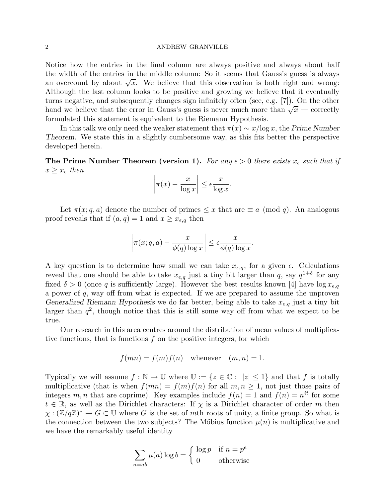Notice how the entries in the final column are always positive and always about half the width of the entries in the middle column: So it seems that Gauss's guess is always an overcount by about  $\sqrt{x}$ . We believe that this observation is both right and wrong: Although the last column looks to be positive and growing we believe that it eventually turns negative, and subsequently changes sign infinitely often (see, e.g. [7]). On the other hand we believe that the error in Gauss's guess is never much more than  $\sqrt{x}$  — correctly formulated this statement is equivalent to the Riemann Hypothesis.

In this talk we only need the weaker statement that  $\pi(x) \sim x/\log x$ , the Prime Number Theorem. We state this in a slightly cumbersome way, as this fits better the perspective developed herein.

The Prime Number Theorem (version 1). For any  $\epsilon > 0$  there exists  $x_{\epsilon}$  such that if  $x \geq x_{\epsilon}$  then

$$
\left|\pi(x) - \frac{x}{\log x}\right| \le \epsilon \frac{x}{\log x}.
$$

Let  $\pi(x; q, a)$  denote the number of primes  $\leq x$  that are  $\equiv a \pmod{q}$ . An analogous proof reveals that if  $(a, q) = 1$  and  $x \geq x_{\epsilon,q}$  then

$$
\left|\pi(x;q,a)-\frac{x}{\phi(q)\log x}\right| \leq \epsilon \frac{x}{\phi(q)\log x}.
$$

A key question is to determine how small we can take  $x_{\epsilon,q}$ , for a given  $\epsilon$ . Calculations reveal that one should be able to take  $x_{\epsilon,q}$  just a tiny bit larger than q, say  $q^{1+\delta}$  for any fixed  $\delta > 0$  (once q is sufficiently large). However the best results known [4] have  $\log x_{\epsilon,q}$ a power of q, way off from what is expected. If we are prepared to assume the unproven Generalized Riemann Hypothesis we do far better, being able to take  $x_{\epsilon,q}$  just a tiny bit larger than  $q^2$ , though notice that this is still some way off from what we expect to be true.

Our research in this area centres around the distribution of mean values of multiplicative functions, that is functions  $f$  on the positive integers, for which

$$
f(mn) = f(m)f(n) \quad \text{whenever} \quad (m, n) = 1.
$$

Typically we will assume  $f : \mathbb{N} \to \mathbb{U}$  where  $\mathbb{U} := \{z \in \mathbb{C} : |z| \leq 1\}$  and that f is totally multiplicative (that is when  $f(mn) = f(m)f(n)$  for all  $m, n \ge 1$ , not just those pairs of integers m, n that are coprime). Key examples include  $f(n) = 1$  and  $f(n) = n^{it}$  for some  $t \in \mathbb{R}$ , as well as the Dirichlet characters: If  $\chi$  is a Dirichlet character of order m then  $\chi: (\mathbb{Z}/q\mathbb{Z})^* \to G \subset \mathbb{U}$  where G is the set of mth roots of unity, a finite group. So what is the connection between the two subjects? The M $\delta$ bius function  $\mu(n)$  is multiplicative and we have the remarkably useful identity

$$
\sum_{n=ab} \mu(a) \log b = \begin{cases} \log p & \text{if } n = p^e \\ 0 & \text{otherwise} \end{cases}
$$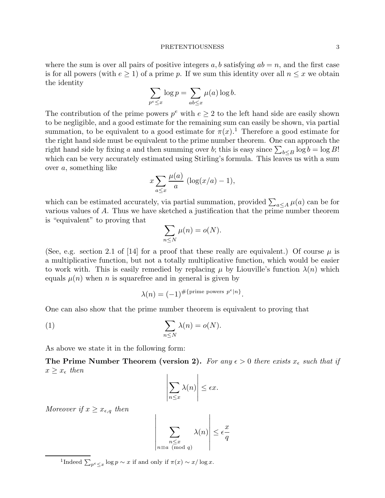where the sum is over all pairs of positive integers  $a, b$  satisfying  $ab = n$ , and the first case is for all powers (with  $e \geq 1$ ) of a prime p. If we sum this identity over all  $n \leq x$  we obtain the identity

$$
\sum_{p^e \le x} \log p = \sum_{ab \le x} \mu(a) \log b.
$$

The contribution of the prime powers  $p^e$  with  $e \geq 2$  to the left hand side are easily shown to be negligible, and a good estimate for the remaining sum can easily be shown, via partial summation, to be equivalent to a good estimate for  $\pi(x)$ .<sup>1</sup> Therefore a good estimate for the right hand side must be equivalent to the prime number theorem. One can approach the right hand side by fixing a and then summing over b; this is easy since  $\sum_{b \leq B} \log b = \log B!$ which can be very accurately estimated using Stirling's formula. This leaves us with a sum over a, something like

$$
x\sum_{a\leq x}\frac{\mu(a)}{a}\,\left(\log(x/a)-1\right),\,
$$

which can be estimated accurately, via partial summation, provided  $\sum_{a \le A} \mu(a)$  can be for various values of A. Thus we have sketched a justification that the prime number theorem is "equivalent" to proving that

$$
\sum_{n\leq N}\mu(n)=o(N).
$$

(See, e.g. section 2.1 of [14] for a proof that these really are equivalent.) Of course  $\mu$  is a multiplicative function, but not a totally multiplicative function, which would be easier to work with. This is easily remedied by replacing  $\mu$  by Liouville's function  $\lambda(n)$  which equals  $\mu(n)$  when n is squarefree and in general is given by

$$
\lambda(n) = (-1)^{\#\{\text{prime powers } p^e | n\}}.
$$

One can also show that the prime number theorem is equivalent to proving that

(1) 
$$
\sum_{n \leq N} \lambda(n) = o(N).
$$

As above we state it in the following form:

The Prime Number Theorem (version 2). For any  $\epsilon > 0$  there exists  $x_{\epsilon}$  such that if  $x \geq x_{\epsilon}$  then

$$
\left|\sum_{n\leq x}\lambda(n)\right|\leq\epsilon x.
$$

Moreover if  $x \geq x_{\epsilon,q}$  then

$$
\sum_{\substack{n \le x \\ n \equiv a \pmod{q}}} \lambda(n) \le \epsilon \frac{x}{q}
$$

<sup>1</sup>Indeed  $\sum_{p^e \leq x} \log p \sim x$  if and only if  $\pi(x) \sim x/\log x$ .

 $\overline{\phantom{a}}$  $\overline{\phantom{a}}$  $\bigg\}$  $\bigg\}$  $\bigg\}$  $\bigg\}$  $\bigg\}$  $\overline{\phantom{a}}$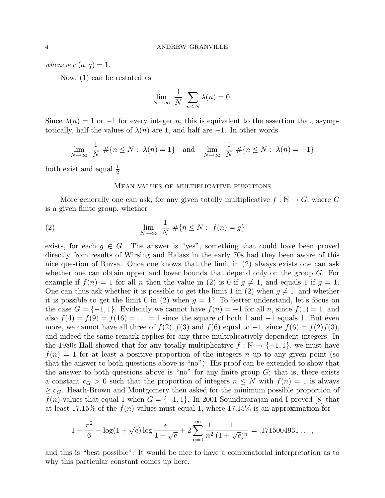whenever  $(a, q) = 1$ .

Now, (1) can be restated as

$$
\lim_{N \to \infty} \frac{1}{N} \sum_{n \le N} \lambda(n) = 0.
$$

Since  $\lambda(n) = 1$  or  $-1$  for every integer n, this is equivalent to the assertion that, asymptotically, half the values of  $\lambda(n)$  are 1, and half are  $-1$ . In other words

$$
\lim_{N \to \infty} \frac{1}{N} \# \{ n \le N : \lambda(n) = 1 \} \text{ and } \lim_{N \to \infty} \frac{1}{N} \# \{ n \le N : \lambda(n) = -1 \}
$$

both exist and equal  $\frac{1}{2}$ .

## Mean values of multiplicative functions

More generally one can ask, for any given totally multiplicative  $f : \mathbb{N} \to G$ , where G is a given finite group, whether

(2) 
$$
\lim_{N \to \infty} \frac{1}{N} \# \{ n \le N : f(n) = g \}
$$

exists, for each  $g \in G$ . The answer is "yes", something that could have been proved directly from results of Wirsing and Halasz in the early 70s had they been aware of this nice question of Ruzsa. Once one knows that the limit in (2) always exists one can ask whether one can obtain upper and lower bounds that depend only on the group  $G$ . For example if  $f(n) = 1$  for all n then the value in (2) is 0 if  $g \neq 1$ , and equals 1 if  $g = 1$ . One can thus ask whether it is possible to get the limit 1 in (2) when  $q \neq 1$ , and whether it is possible to get the limit 0 in (2) when  $g = 1$ ? To better understand, let's focus on the case  $G = \{-1, 1\}$ . Evidently we cannot have  $f(n) = -1$  for all n, since  $f(1) = 1$ , and also  $f(4) = f(9) = f(16) = \ldots = 1$  since the square of both 1 and  $-1$  equals 1. But even more, we cannot have all three of  $f(2)$ ,  $f(3)$  and  $f(6)$  equal to  $-1$ , since  $f(6) = f(2)f(3)$ , and indeed the same remark applies for any three multiplicatively dependent integers. In the 1980s Hall showed that for any totally multiplicative  $f : \mathbb{N} \to \{-1, 1\}$ , we must have  $f(n) = 1$  for at least a positive proportion of the integers n up to any given point (so that the answer to both questions above is "no"). His proof can be extended to show that the answer to both questions above is "no" for any finite group  $G$ ; that is, there exists a constant  $c_G > 0$  such that the proportion of integers  $n \leq N$  with  $f(n) = 1$  is always  $\geq c_G$ . Heath-Brown and Montgomery then asked for the minimum possible proportion of  $f(n)$ -values that equal 1 when  $G = \{-1, 1\}$ . In 2001 Soundararajan and I proved [8] that at least 17.15% of the  $f(n)$ -values must equal 1, where 17.15% is an approximation for

$$
1 - \frac{\pi^2}{6} - \log(1 + \sqrt{e}) \log \frac{e}{1 + \sqrt{e}} + 2 \sum_{n=1}^{\infty} \frac{1}{n^2} \frac{1}{(1 + \sqrt{e})^n} = .1715004931\dots,
$$

and this is "best possible". It would be nice to have a combinatorial interpretation as to why this particular constant comes up here.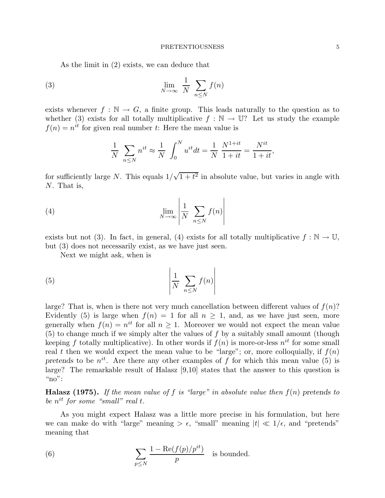As the limit in (2) exists, we can deduce that

(3) 
$$
\lim_{N \to \infty} \frac{1}{N} \sum_{n \leq N} f(n)
$$

exists whenever  $f : \mathbb{N} \to G$ , a finite group. This leads naturally to the question as to whether (3) exists for all totally multiplicative  $f : \mathbb{N} \to \mathbb{U}$ ? Let us study the example  $f(n) = n^{it}$  for given real number t: Here the mean value is

$$
\frac{1}{N} \sum_{n \le N} n^{it} \approx \frac{1}{N} \int_0^N u^{it} dt = \frac{1}{N} \frac{N^{1+it}}{1+it} = \frac{N^{it}}{1+it},
$$

for sufficiently large N. This equals  $1/\sqrt{1+t^2}$  in absolute value, but varies in angle with N. That is,

(4) 
$$
\lim_{N \to \infty} \left| \frac{1}{N} \sum_{n \leq N} f(n) \right|
$$

exists but not (3). In fact, in general, (4) exists for all totally multiplicative  $f : \mathbb{N} \to \mathbb{U}$ , but (3) does not necessarily exist, as we have just seen.

Next we might ask, when is

$$
\left| \frac{1}{N} \sum_{n \le N} f(n) \right|
$$

large? That is, when is there not very much cancellation between different values of  $f(n)$ ? Evidently (5) is large when  $f(n) = 1$  for all  $n \ge 1$ , and, as we have just seen, more generally when  $f(n) = n^{it}$  for all  $n \geq 1$ . Moreover we would not expect the mean value  $(5)$  to change much if we simply alter the values of  $f$  by a suitably small amount (though keeping f totally multiplicative). In other words if  $f(n)$  is more-or-less  $n^{it}$  for some small real t then we would expect the mean value to be "large"; or, more colloquially, if  $f(n)$ pretends to be  $n^{it}$ . Are there any other examples of f for which this mean value (5) is large? The remarkable result of Halasz [9,10] states that the answer to this question is " $no$ ":

**Halasz (1975).** If the mean value of f is "large" in absolute value then  $f(n)$  pretends to be  $n^{it}$  for some "small" real t.

As you might expect Halasz was a little more precise in his formulation, but here we can make do with "large" meaning  $>\epsilon$ , "small" meaning  $|t| \ll 1/\epsilon$ , and "pretends" meaning that

(6) 
$$
\sum_{p \leq N} \frac{1 - \text{Re}(f(p)/p^{it})}{p}
$$
 is bounded.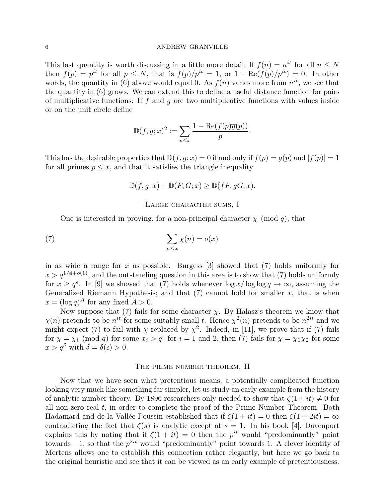This last quantity is worth discussing in a little more detail: If  $f(n) = n^{it}$  for all  $n \leq N$ then  $f(p) = p^{it}$  for all  $p \leq N$ , that is  $f(p)/p^{it} = 1$ , or  $1 - \text{Re}(f(p)/p^{it}) = 0$ . In other words, the quantity in (6) above would equal 0. As  $f(n)$  varies more from  $n^{it}$ , we see that the quantity in (6) grows. We can extend this to define a useful distance function for pairs of multiplicative functions: If f and q are two multiplicative functions with values inside or on the unit circle define

$$
\mathbb{D}(f,g;x)^2 := \sum_{p \leq x} \frac{1 - \text{Re}(f(p)\overline{g}(p))}{p}.
$$

This has the desirable properties that  $\mathbb{D}(f, g; x) = 0$  if and only if  $f(p) = g(p)$  and  $|f(p)| = 1$ for all primes  $p \leq x$ , and that it satisfies the triangle inequality

$$
\mathbb{D}(f,g;x) + \mathbb{D}(F,G;x) \ge \mathbb{D}(fF,gG;x).
$$

### Large character sums, I

One is interested in proving, for a non-principal character  $\chi$  (mod q), that

(7) 
$$
\sum_{n \leq x} \chi(n) = o(x)
$$

in as wide a range for  $x$  as possible. Burgess  $[3]$  showed that  $(7)$  holds uniformly for  $x > q^{1/4+o(1)}$ , and the outstanding question in this area is to show that (7) holds uniformly for  $x \ge q^{\epsilon}$ . In [9] we showed that (7) holds whenever  $\log x / \log \log q \to \infty$ , assuming the Generalized Riemann Hypothesis; and that  $(7)$  cannot hold for smaller x, that is when  $x = (\log q)^A$  for any fixed  $A > 0$ .

Now suppose that (7) fails for some character  $\chi$ . By Halasz's theorem we know that  $\chi(n)$  pretends to be  $n^{it}$  for some suitably small t. Hence  $\chi^2(n)$  pretends to be  $n^{2it}$  and we might expect (7) to fail with  $\chi$  replaced by  $\chi^2$ . Indeed, in [11], we prove that if (7) fails for  $\chi = \chi_i \pmod{q}$  for some  $x_i > q^{\epsilon}$  for  $i = 1$  and 2, then (7) fails for  $\chi = \chi_1 \chi_2$  for some  $x > q^{\delta}$  with  $\delta = \delta(\epsilon) > 0$ .

### THE PRIME NUMBER THEOREM, II

Now that we have seen what pretentious means, a potentially complicated function looking very much like something far simpler, let us study an early example from the history of analytic number theory. By 1896 researchers only needed to show that  $\zeta(1+it) \neq 0$  for all non-zero real t, in order to complete the proof of the Prime Number Theorem. Both Hadamard and de la Vallée Poussin established that if  $\zeta(1 + it) = 0$  then  $\zeta(1 + 2it) = \infty$ contradicting the fact that  $\zeta(s)$  is analytic except at  $s = 1$ . In his book [4], Davenport explains this by noting that if  $\zeta(1+it) = 0$  then the  $p^{it}$  would "predominantly" point towards  $-1$ , so that the  $p^{2it}$  would "predominantly" point towards 1. A clever identity of Mertens allows one to establish this connection rather elegantly, but here we go back to the original heuristic and see that it can be viewed as an early example of pretentiousness.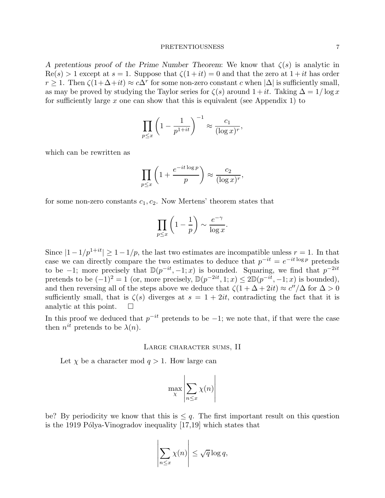A pretentious proof of the Prime Number Theorem: We know that  $\zeta(s)$  is analytic in  $\text{Re}(s) > 1$  except at  $s = 1$ . Suppose that  $\zeta(1+it) = 0$  and that the zero at  $1+it$  has order  $r \geq 1$ . Then  $\zeta(1+\Delta+it) \approx c\Delta^r$  for some non-zero constant c when  $|\Delta|$  is sufficiently small, as may be proved by studying the Taylor series for  $\zeta(s)$  around  $1+it$ . Taking  $\Delta = 1/\log x$ for sufficiently large x one can show that this is equivalent (see Appendix 1) to

$$
\prod_{p\leq x} \left(1 - \frac{1}{p^{1+it}}\right)^{-1} \approx \frac{c_1}{(\log x)^r},
$$

which can be rewritten as

$$
\prod_{p\leq x} \left(1 + \frac{e^{-it\log p}}{p}\right) \approx \frac{c_2}{(\log x)^r},
$$

for some non-zero constants  $c_1, c_2$ . Now Mertens' theorem states that

$$
\prod_{p\leq x} \left(1-\frac{1}{p}\right) \sim \frac{e^{-\gamma}}{\log x}.
$$

Since  $|1-1/p^{1+it}| \geq 1-1/p$ , the last two estimates are incompatible unless  $r=1$ . In that case we can directly compare the two estimates to deduce that  $p^{-it} = e^{-it \log p}$  pretends to be -1; more precisely that  $\mathbb{D}(p^{-it}, -1; x)$  is bounded. Squaring, we find that  $p^{-2it}$ pretends to be  $(-1)^2 = 1$  (or, more precisely,  $\mathbb{D}(p^{-2it}, 1; x) \leq 2\mathbb{D}(p^{-it}, -1; x)$  is bounded), and then reversing all of the steps above we deduce that  $\zeta(1 + \Delta + 2it) \approx c''/\Delta$  for  $\Delta > 0$ sufficiently small, that is  $\zeta(s)$  diverges at  $s = 1 + 2it$ , contradicting the fact that it is analytic at this point.  $\square$ 

In this proof we deduced that  $p^{-it}$  pretends to be  $-1$ ; we note that, if that were the case then  $n^{it}$  pretends to be  $\lambda(n)$ .

## Large character sums, II

Let  $\chi$  be a character mod  $q > 1$ . How large can

$$
\max_{\chi} \left| \sum_{n \le x} \chi(n) \right|
$$

be? By periodicity we know that this is  $\leq q$ . The first important result on this question is the 1919 Pólya-Vinogradov inequality  $[17,19]$  which states that

$$
\left|\sum_{n\leq x}\chi(n)\right|\leq \sqrt{q}\log q,
$$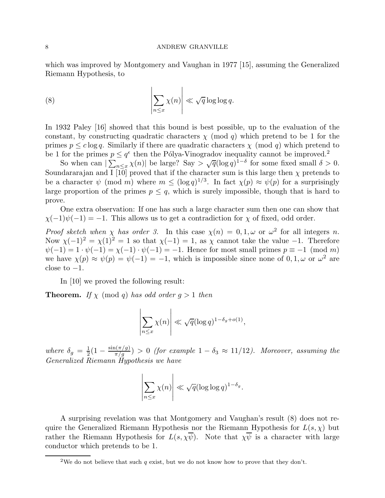which was improved by Montgomery and Vaughan in 1977 [15], assuming the Generalized Riemann Hypothesis, to

(8) 
$$
\left|\sum_{n\leq x}\chi(n)\right| \ll \sqrt{q}\log\log q.
$$

In 1932 Paley [16] showed that this bound is best possible, up to the evaluation of the constant, by constructing quadratic characters  $\chi \pmod{q}$  which pretend to be 1 for the primes  $p \leq c \log q$ . Similarly if there are quadratic characters  $\chi \pmod{q}$  which pretend to be 1 for the primes  $p \leq q^{\epsilon}$  then the Pólya-Vinogradov inequality cannot be improved.<sup>2</sup>

So when can  $|\sum_{n\leq x}^{\infty}\chi(n)|$  be large? Say  $\sum \sqrt{q}(\log q)^{1-\delta}$  for some fixed small  $\delta > 0$ . Soundararajan and I  $\overline{10}$  proved that if the character sum is this large then  $\chi$  pretends to be a character  $\psi \pmod{m}$  where  $m \leq (\log q)^{1/3}$ . In fact  $\chi(p) \approx \psi(p)$  for a surprisingly large proportion of the primes  $p \leq q$ , which is surely impossible, though that is hard to prove.

One extra observation: If one has such a large character sum then one can show that  $\chi(-1)\psi(-1) = -1$ . This allows us to get a contradiction for  $\chi$  of fixed, odd order.

Proof sketch when  $\chi$  has order 3. In this case  $\chi(n) = 0, 1, \omega$  or  $\omega^2$  for all integers n. Now  $\chi(-1)^2 = \chi(1)^2 = 1$  so that  $\chi(-1) = 1$ , as  $\chi$  cannot take the value -1. Therefore  $\psi(-1) = 1 \cdot \psi(-1) = \chi(-1) \cdot \psi(-1) = -1$ . Hence for most small primes  $p \equiv -1 \pmod{m}$ we have  $\chi(p) \approx \psi(p) = \psi(-1) = -1$ , which is impossible since none of  $0, 1, \omega$  or  $\omega^2$  are close to  $-1$ .

In [10] we proved the following result:

**Theorem.** If  $\chi$  (mod q) has odd order  $g > 1$  then

$$
\left|\sum_{n\leq x}\chi(n)\right|\ll \sqrt{q}(\log q)^{1-\delta_g+o(1)},
$$

where  $\delta_g = \frac{1}{2}$  $\frac{1}{2}(1-\frac{\sin(\pi/g)}{\pi/g}) > 0$  (for example  $1-\delta_3 \approx 11/12$ ). Moreover, assuming the Generalized Riemann Hypothesis we have

$$
\left|\sum_{n\leq x}\chi(n)\right|\ll \sqrt{q}(\log\log q)^{1-\delta_g}.
$$

A surprising revelation was that Montgomery and Vaughan's result (8) does not require the Generalized Riemann Hypothesis nor the Riemann Hypothesis for  $L(s, \chi)$  but rather the Riemann Hypothesis for  $L(s, \chi \overline{\psi})$ . Note that  $\chi \overline{\psi}$  is a character with large conductor which pretends to be 1.

<sup>&</sup>lt;sup>2</sup>We do not believe that such q exist, but we do not know how to prove that they don't.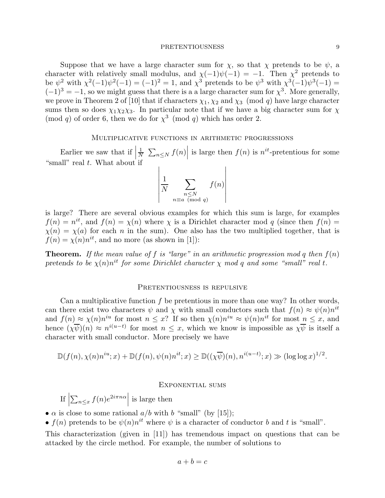Suppose that we have a large character sum for  $\chi$ , so that  $\chi$  pretends to be  $\psi$ , a character with relatively small modulus, and  $\chi(-1)\psi(-1) = -1$ . Then  $\chi^2$  pretends to be  $\psi^2$  with  $\chi^2(-1)\psi^2(-1) = (-1)^2 = 1$ , and  $\chi^3$  pretends to be  $\psi^3$  with  $\chi^3(-1)\psi^3(-1) =$  $(-1)^3 = -1$ , so we might guess that there is a a large character sum for  $\chi^3$ . More generally, we prove in Theorem 2 of [10] that if characters  $\chi_1, \chi_2$  and  $\chi_3$  (mod q) have large character sums then so does  $\chi_1 \chi_2 \chi_3$ . In particular note that if we have a big character sum for  $\chi$ (mod q) of order 6, then we do for  $\chi^3$  (mod q) which has order 2.

### Multiplicative functions in arithmetic progressions

Earlier we saw that if  $\frac{1}{N}$ "small" real  $t$ . What about if  $\frac{1}{N} \sum_{n \leq N} f(n)$  is large then  $f(n)$  is  $n^{it}$ -pretentious for some

$$
\left|\frac{1}{N}\sum_{\substack{n\leq N\\ n\equiv a\pmod{q}}}f(n)\right|
$$

is large? There are several obvious examples for which this sum is large, for examples  $f(n) = n^{it}$ , and  $f(n) = \chi(n)$  where  $\chi$  is a Dirichlet character mod q (since then  $f(n) =$  $\chi(n) = \chi(a)$  for each n in the sum). One also has the two multiplied together, that is  $f(n) = \chi(n)n^{it}$ , and no more (as shown in [1]):

**Theorem.** If the mean value of f is "large" in an arithmetic progression mod q then  $f(n)$ pretends to be  $\chi(n)n^{it}$  for some Dirichlet character  $\chi$  mod q and some "small" real t.

### PRETENTIOUSNESS IS REPULSIVE

Can a multiplicative function  $f$  be pretentious in more than one way? In other words, can there exist two characters  $\psi$  and  $\chi$  with small conductors such that  $f(n) \approx \psi(n)n^{it}$ and  $f(n) \approx \chi(n)n^{iu}$  for most  $n \leq x$ ? If so then  $\chi(n)n^{iu} \approx \psi(n)n^{it}$  for most  $n \leq x$ , and hence  $(\chi \overline{\psi})(n) \approx n^{i(u-t)}$  for most  $n \leq x$ , which we know is impossible as  $\chi \overline{\psi}$  is itself a character with small conductor. More precisely we have

$$
\mathbb{D}(f(n), \chi(n)n^{iu}; x) + \mathbb{D}(f(n), \psi(n)n^{it}; x) \ge \mathbb{D}((\chi \overline{\psi})(n), n^{i(u-t)}; x) \gg (\log \log x)^{1/2}.
$$

### Exponential sums

 $\left| \begin{array}{c} 1 \end{array} \right|$  $\sum_{n\leq x} f(n)e^{2i\pi n\alpha}$  is large then

•  $\alpha$  is close to some rational  $a/b$  with b "small" (by [15]);

•  $f(n)$  pretends to be  $\psi(n)n^{it}$  where  $\psi$  is a character of conductor b and t is "small".

This characterization (given in [11]) has tremendous impact on questions that can be attacked by the circle method. For example, the number of solutions to

$$
a + b = c
$$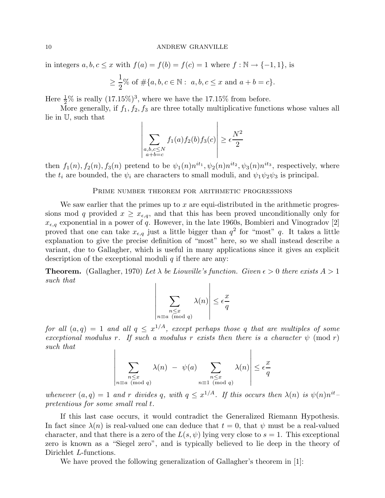in integers  $a, b, c \leq x$  with  $f(a) = f(b) = f(c) = 1$  where  $f : \mathbb{N} \to \{-1, 1\}$ , is

$$
\geq \frac{1}{2}\%
$$
 of  $\#\{a, b, c \in \mathbb{N} : a, b, c \leq x \text{ and } a + b = c\}.$ 

Here  $\frac{1}{2}\%$  is really  $(17.15\%)^3$ , where we have the 17.15% from before.

More generally, if  $f_1, f_2, f_3$  are three totally multiplicative functions whose values all lie in U, such that

$$
\left| \sum_{\substack{a,b,c \le N \\ a+b=c}} f_1(a) f_2(b) f_3(c) \right| \ge \epsilon \frac{N^2}{2}
$$

then  $f_1(n)$ ,  $f_2(n)$ ,  $f_3(n)$  pretend to be  $\psi_1(n)n^{it_1}$ ,  $\psi_2(n)n^{it_2}$ ,  $\psi_3(n)n^{it_3}$ , respectively, where the  $t_i$  are bounded, the  $\psi_i$  are characters to small moduli, and  $\psi_1\psi_2\psi_3$  is principal.

### PRIME NUMBER THEOREM FOR ARITHMETIC PROGRESSIONS

We saw earlier that the primes up to x are equi-distributed in the arithmetic progressions mod q provided  $x \geq x_{\epsilon,q}$ , and that this has been proved unconditionally only for  $x_{\epsilon,q}$  exponential in a power of q. However, in the late 1960s, Bombieri and Vinogradov [2] proved that one can take  $x_{\epsilon,q}$  just a little bigger than  $q^2$  for "most" q. It takes a little explanation to give the precise definition of "most" here, so we shall instead describe a variant, due to Gallagher, which is useful in many applications since it gives an explicit description of the exceptional moduli  $q$  if there are any:

**Theorem.** (Gallagher, 1970) Let  $\lambda$  be Liouville's function. Given  $\epsilon > 0$  there exists  $A > 1$ such that  $\overline{1}$ 

$$
\left|\sum_{\substack{n \leq x \\ n \equiv a \pmod{q}}} \lambda(n)\right| \leq \epsilon \frac{x}{q}
$$

for all  $(a,q) = 1$  and all  $q \leq x^{1/A}$ , except perhaps those q that are multiples of some exceptional modulus r. If such a modulus r exists then there is a character  $\psi$  (mod r) such that

$$
\left| \sum_{\substack{n \leq x \\ n \equiv a \pmod{q}}} \lambda(n) - \psi(a) \sum_{\substack{n \leq x \\ n \equiv 1 \pmod{q}}} \lambda(n) \right| \leq \epsilon \frac{x}{q}
$$

whenever  $(a, q) = 1$  and r divides q, with  $q \leq x^{1/A}$ . If this occurs then  $\lambda(n)$  is  $\psi(n)n^{it}$ pretentious for some small real t.

If this last case occurs, it would contradict the Generalized Riemann Hypothesis. In fact since  $\lambda(n)$  is real-valued one can deduce that  $t = 0$ , that  $\psi$  must be a real-valued character, and that there is a zero of the  $L(s, \psi)$  lying very close to  $s = 1$ . This exceptional zero is known as a "Siegel zero", and is typically believed to lie deep in the theory of Dirichlet L-functions.

We have proved the following generalization of Gallagher's theorem in [1]: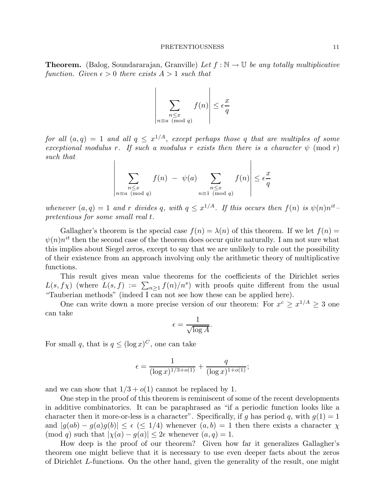**Theorem.** (Balog, Soundararajan, Granville) Let  $f : \mathbb{N} \to \mathbb{U}$  be any totally multiplicative function. Given  $\epsilon > 0$  there exists  $A > 1$  such that

$$
\left|\sum_{\substack{n \leq x \\ n \equiv a \pmod{q}}} f(n)\right| \leq \epsilon \frac{x}{q}
$$

for all  $(a,q) = 1$  and all  $q \leq x^{1/A}$ , except perhaps those q that are multiples of some exceptional modulus r. If such a modulus r exists then there is a character  $\psi$  (mod r) such that

$$
\left| \sum_{\substack{n \leq x \\ n \equiv a \pmod{q}}} f(n) - \psi(a) \sum_{\substack{n \leq x \\ n \equiv 1 \pmod{q}}} f(n) \right| \leq \epsilon \frac{x}{q}
$$

whenever  $(a, q) = 1$  and r divides q, with  $q \leq x^{1/A}$ . If this occurs then  $f(n)$  is  $\psi(n)n^{it}$ pretentious for some small real t.

Gallagher's theorem is the special case  $f(n) = \lambda(n)$  of this theorem. If we let  $f(n) =$  $\psi(n)n^{it}$  then the second case of the theorem does occur quite naturally. I am not sure what this implies about Siegel zeros, except to say that we are unlikely to rule out the possibility of their existence from an approach involving only the arithmetic theory of multiplicative functions.

This result gives mean value theorems for the coefficients of the Dirichlet series  $L(s, f\chi)$  (where  $L(s, f) := \sum_{n\geq 1} f(n)/n^s$ ) with proofs quite different from the usual "Tauberian methods" (indeed I can not see how these can be applied here).

One can write down a more precise version of our theorem: For  $x^c \geq x^{1/A} \geq 3$  one can take

$$
\epsilon = \frac{1}{\sqrt{\log A}}.
$$

For small q, that is  $q \leq (\log x)^C$ , one can take

$$
\epsilon = \frac{1}{(\log x)^{1/3 + o(1)}} + \frac{q}{(\log x)^{1 + o(1)}};
$$

and we can show that  $1/3 + o(1)$  cannot be replaced by 1.

One step in the proof of this theorem is reminiscent of some of the recent developments in additive combinatorics. It can be paraphrased as "if a periodic function looks like a character then it more-or-less is a character". Specifically, if g has period q, with  $g(1) = 1$ and  $|g(ab) - g(a)g(b)| \le \epsilon \le 1/4$ ) whenever  $(a, b) = 1$  then there exists a character  $\chi$  $\pmod{q}$  such that  $|\chi(a) - g(a)| \leq 2\epsilon$  whenever  $(a, q) = 1$ .

How deep is the proof of our theorem? Given how far it generalizes Gallagher's theorem one might believe that it is necessary to use even deeper facts about the zeros of Dirichlet L-functions. On the other hand, given the generality of the result, one might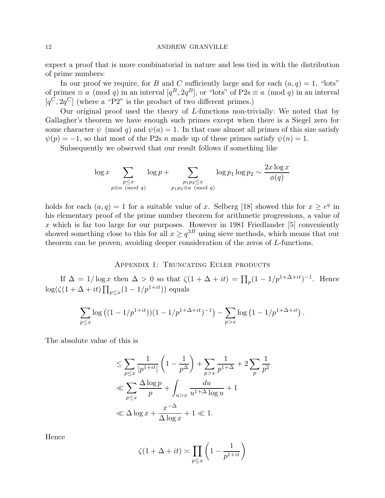expect a proof that is more combinatorial in nature and less tied in with the distribution of prime numbers:

In our proof we require, for B and C sufficiently large and for each  $(a, q) = 1$ , "lots" of primes  $\equiv a \pmod{q}$  in an interval  $[q^B, 2q^B]$ , or "lots" of P2s  $\equiv a \pmod{q}$  in an interval  $[q<sup>C</sup>, 2q<sup>C</sup>]$  (where a "P2" is the product of two different primes.)

Our original proof used the theory of L-functions non-trivially: We noted that by Gallagher's theorem we have enough such primes except when there is a Siegel zero for some character  $\psi$  (mod q) and  $\psi(a) = 1$ . In that case almost all primes of this size satisfy  $\psi(p) = -1$ , so that most of the P2s n made up of these primes satisfy  $\psi(n) = 1$ .

Subsequently we observed that our result follows if something like

$$
\log x \sum_{\substack{p \le x \\ p \equiv a \pmod{q}}} \log p + \sum_{\substack{p_1p_2 \le x \\ p_1p_2 \equiv a \pmod{q}}} \log p_1 \log p_2 \sim \frac{2x \log x}{\phi(q)}
$$

holds for each  $(a, q) = 1$  for a suitable value of x. Selberg [18] showed this for  $x \geq e^q$  in his elementary proof of the prime number theorem for arithmetic progressions, a value of x which is far too large for our purposes. However in 1981 Friedlander  $[5]$  conveniently showed something close to this for all  $x \geq q^{3B}$  using sieve methods, which means that our theorem can be proven, avoiding deeper consideration of the zeros of L-functions.

# APPENDIX 1: TRUNCATING EULER PRODUCTS

If  $\Delta = 1/\log x$  then  $\Delta > 0$  so that  $\zeta(1 + \Delta + it) = \prod_p (1 - 1/p^{1 + \Delta + it})^{-1}$ . Hence  $\log(\zeta(1+\Delta+it)\prod_{p\leq x}(1-1/p^{1+it}))$  equals

$$
\sum_{p \le x} \log ((1 - 1/p^{1+it}))(1 - 1/p^{1 + \Delta + it})^{-1}) - \sum_{p > x} \log (1 - 1/p^{1 + \Delta + it}).
$$

The absolute value of this is

$$
\leq \sum_{p \leq x} \frac{1}{|p^{1+it}|} \left(1 - \frac{1}{p^{\Delta}}\right) + \sum_{p > x} \frac{1}{p^{1+\Delta}} + 2 \sum_{p} \frac{1}{p^2}
$$
  

$$
\ll \sum_{p \leq x} \frac{\Delta \log p}{p} + \int_{u > x} \frac{du}{u^{1+\Delta} \log u} + 1
$$
  

$$
\ll \Delta \log x + \frac{x^{-\Delta}}{\Delta \log x} + 1 \ll 1.
$$

Hence

$$
\zeta(1+\Delta+it) \asymp \prod_{p \le x} \left(1 - \frac{1}{p^{1+it}}\right)
$$